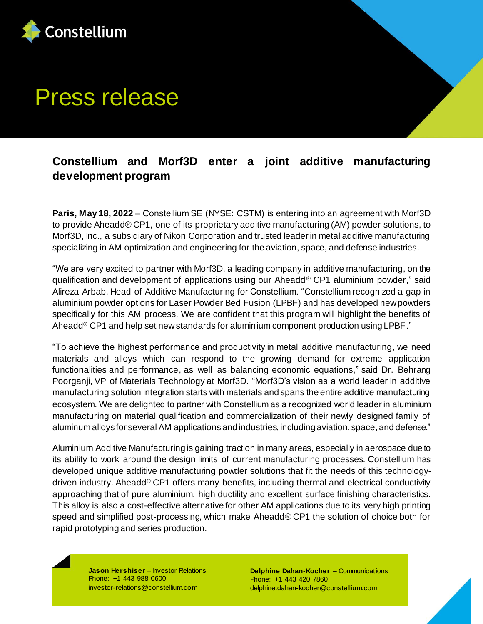

## Press release

## **Constellium and Morf3D enter a joint additive manufacturing development program**

**Paris, May 18, 2022** – Constellium SE (NYSE: CSTM) is entering into an agreement with Morf3D to provide Aheadd® CP1, one of its proprietary additive manufacturing (AM) powder solutions, to Morf3D, Inc., a subsidiary of Nikon Corporation and trusted leader in metal additive manufacturing specializing in AM optimization and engineering for the aviation, space, and defense industries.

"We are very excited to partner with Morf3D, a leading company in additive manufacturing, on the qualification and development of applications using our Aheadd® CP1 aluminium powder," said Alireza Arbab, Head of Additive Manufacturing for Constellium. "Constellium recognized a gap in aluminium powder options for Laser Powder Bed Fusion (LPBF) and has developed new powders specifically for this AM process. We are confident that this program will highlight the benefits of Aheadd<sup>®</sup> CP1 and help set new standards for aluminium component production using LPBF."

"To achieve the highest performance and productivity in metal additive manufacturing, we need materials and alloys which can respond to the growing demand for extreme application functionalities and performance, as well as balancing economic equations," said Dr. Behrang Poorganji, VP of Materials Technology at Morf3D. "Morf3D's vision as a world leader in additive manufacturing solution integration starts with materials and spans the entire additive manufacturing ecosystem. We are delighted to partner with Constellium as a recognized world leader in aluminium manufacturing on material qualification and commercialization of their newly designed family of aluminum alloys for several AM applications and industries, including aviation, space, and defense."

Aluminium Additive Manufacturing is gaining traction in many areas, especially in aerospace due to its ability to work around the design limits of current manufacturing processes. Constellium has developed unique additive manufacturing powder solutions that fit the needs of this technologydriven industry. Aheadd® CP1 offers many benefits, including thermal and electrical conductivity approaching that of pure aluminium, high ductility and excellent surface finishing characteristics. This alloy is also a cost-effective alternative for other AM applications due to its very high printing speed and simplified post-processing, which make Aheadd® CP1 the solution of choice both for rapid prototyping and series production.

**Jason Hershiser** – Investor Relations Phone: +1 443 988 0600 investor-relations@constellium.com

**Delphine Dahan-Kocher** – Communications Phone: +1 443 420 7860 delphine.dahan-kocher@constellium.com